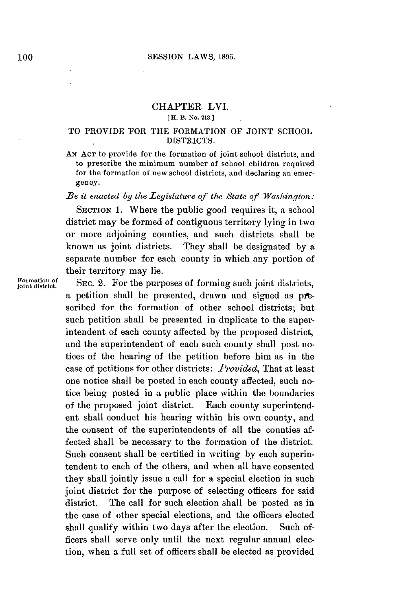## CHAPTER LVI.

## **[IL B.** No. **213.]**

## TO *PROVIDE* TOR THE FORMATION OF **JOINT SCHOOL** DISTRICTS.

**AN ACT** to provide for the formation of joint school districts, and to prescribe the minimum number of school children required for the formation of new school districts, and declaring an emergency.

*lBe it enacted by the Legislature of the State of Washington:*

SECTION 1. Where the public good requires it, a school district may be formed of contiguous territory lying in two or more adjoining counties, and such districts shall be known as joint districts. They shall be designated **by** a separate number for each county in which any portion of their territory may lie.

Formation of **SEC. 2.** For the purposes of forming such joint districts. a petition shall be presented, drawn and signed as **pit**scribed for the formation of other school districts; but such petition shall be presented in duplicate to the superintendent of each county affected **by** the proposed district, and the superintendent of each such county shall post notices of the hearing of the petition before him as in the case of petitions for other districts: *Provided,* That at least one notice shall be posted in each county affected, such notice being posted in a public place within the boundaries of the proposed joint district. Each county superintendent shall conduct his hearing within his own county, and the consent of the superintendents of all the counties affected shall be necessary to the formation of the district. Such consent shall be certified in writing **by** each superintendent to each of the others, and when all have consented they shall jointly issue a call for a special election in such joint district for the purpose of selecting officers for said district. The call for such election shall be posted as in the case of other special elections, and the officers elected shall qualify within two days after the election. Such officers shall serve only until the next regular annual election, when a full set of officers shall be elected as provided